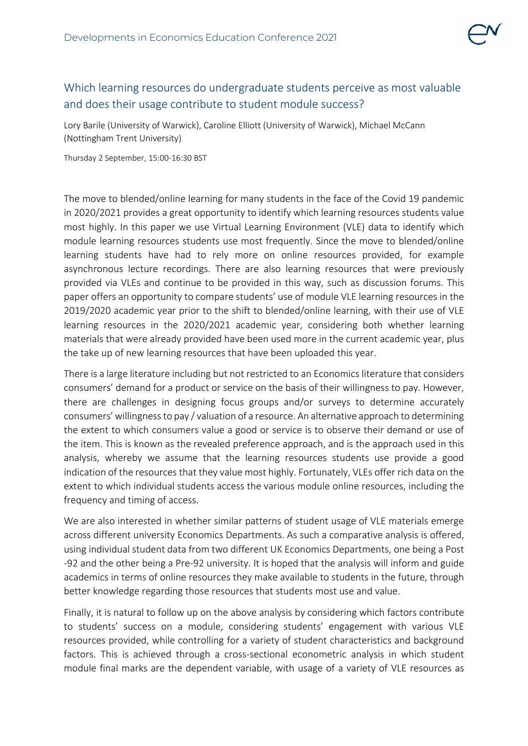

## Which learning resources do undergraduate students perceive as most valuable and does their usage contribute to student module success?

Lory Barile (University of Warwick), Caroline Elliott (University of Warwick), Michael McCann (Nottingham Trent University)

Thursday 2 September, 15:00-16:30 BST

The move to blended/online learning for many students in the face of the Covid 19 pandemic in 2020/2021 provides a great opportunity to identify which learning resources students value most highly. In this paper we use Virtual Learning Environment (VLE) data to identify which module learning resources students use most frequently. Since the move to blended/online learning students have had to rely more on online resources provided, for example asynchronous lecture recordings. There are also learning resources that were previously provided via VLEs and continue to be provided in this way, such as discussion forums. This paper offers an opportunity to compare students' use of module VLE learning resources in the 2019/2020 academic year prior to the shift to blended/online learning, with their use of VLE learning resources in the 2020/2021 academic year, considering both whether learning materials that were already provided have been used more in the current academic year, plus the take up of new learning resources that have been uploaded this year.

There is a large literature including but not restricted to an Economics literature that considers consumers' demand for a product or service on the basis of their willingness to pay. However, there are challenges in designing focus groups and/or surveys to determine accurately consumers' willingness to pay / valuation of a resource. An alternative approach to determining the extent to which consumers value a good or service is to observe their demand or use of the item. This is known as the revealed preference approach, and is the approach used in this analysis, whereby we assume that the learning resources students use provide a good indication of the resources that they value most highly. Fortunately, VLEs offer rich data on the extent to which individual students access the various module online resources, including the frequency and timing of access.

We are also interested in whether similar patterns of student usage of VLE materials emerge across different university Economics Departments. As such a comparative analysis is offered, using individual student data from two different UK Economics Departments, one being a Post -92 and the other being a Pre-92 university. It is hoped that the analysis will inform and guide academics in terms of online resources they make available to students in the future, through better knowledge regarding those resources that students most use and value.

Finally, it is natural to follow up on the above analysis by considering which factors contribute to students' success on a module, considering students' engagement with various VLE resources provided, while controlling for a variety of student characteristics and background factors. This is achieved through a cross-sectional econometric analysis in which student module final marks are the dependent variable, with usage of a variety of VLE resources as